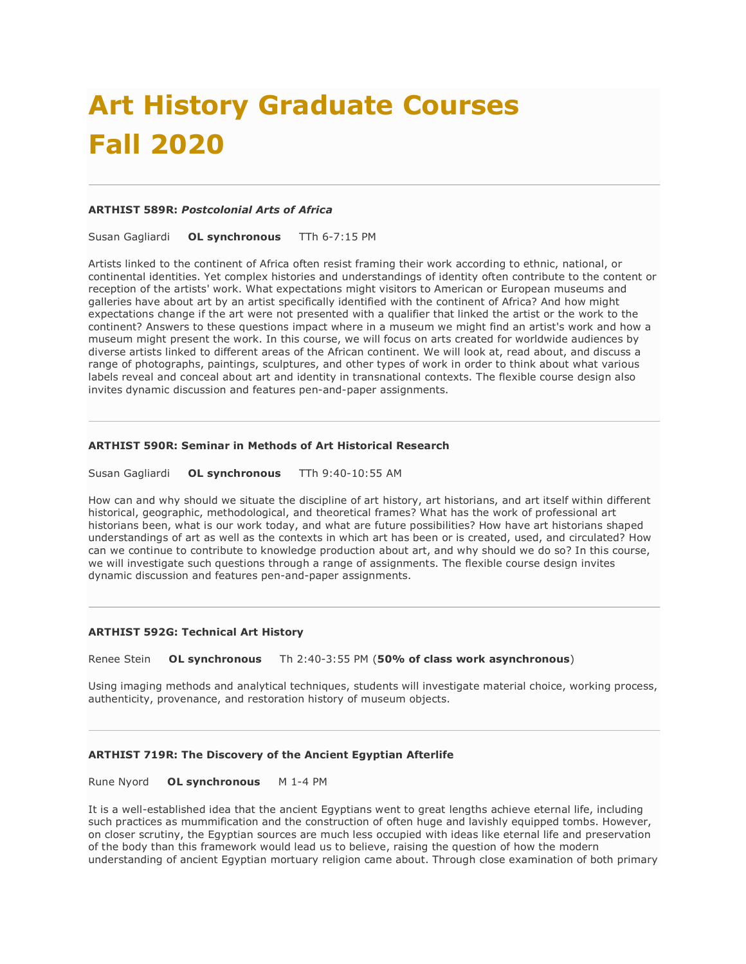# **Art History Graduate Courses Fall 2020**

#### **ARTHIST 589R:** *Postcolonial Arts of Africa*

Susan Gagliardi **OL synchronous** TTh 6-7:15 PM

Artists linked to the continent of Africa often resist framing their work according to ethnic, national, or continental identities. Yet complex histories and understandings of identity often contribute to the content or reception of the artists' work. What expectations might visitors to American or European museums and galleries have about art by an artist specifically identified with the continent of Africa? And how might expectations change if the art were not presented with a qualifier that linked the artist or the work to the continent? Answers to these questions impact where in a museum we might find an artist's work and how a museum might present the work. In this course, we will focus on arts created for worldwide audiences by diverse artists linked to different areas of the African continent. We will look at, read about, and discuss a range of photographs, paintings, sculptures, and other types of work in order to think about what various labels reveal and conceal about art and identity in transnational contexts. The flexible course design also invites dynamic discussion and features pen-and-paper assignments.

#### **ARTHIST 590R: Seminar in Methods of Art Historical Research**

Susan Gagliardi **OL synchronous** TTh 9:40-10:55 AM

How can and why should we situate the discipline of art history, art historians, and art itself within different historical, geographic, methodological, and theoretical frames? What has the work of professional art historians been, what is our work today, and what are future possibilities? How have art historians shaped understandings of art as well as the contexts in which art has been or is created, used, and circulated? How can we continue to contribute to knowledge production about art, and why should we do so? In this course, we will investigate such questions through a range of assignments. The flexible course design invites dynamic discussion and features pen-and-paper assignments.

#### **ARTHIST 592G: Technical Art History**

Renee Stein **OL synchronous** Th 2:40-3:55 PM (**50% of class work asynchronous**)

Using imaging methods and analytical techniques, students will investigate material choice, working process, authenticity, provenance, and restoration history of museum objects.

#### **ARTHIST 719R: The Discovery of the Ancient Egyptian Afterlife**

Rune Nyord **OL synchronous** M 1-4 PM

It is a well-established idea that the ancient Egyptians went to great lengths achieve eternal life, including such practices as mummification and the construction of often huge and lavishly equipped tombs. However, on closer scrutiny, the Egyptian sources are much less occupied with ideas like eternal life and preservation of the body than this framework would lead us to believe, raising the question of how the modern understanding of ancient Egyptian mortuary religion came about. Through close examination of both primary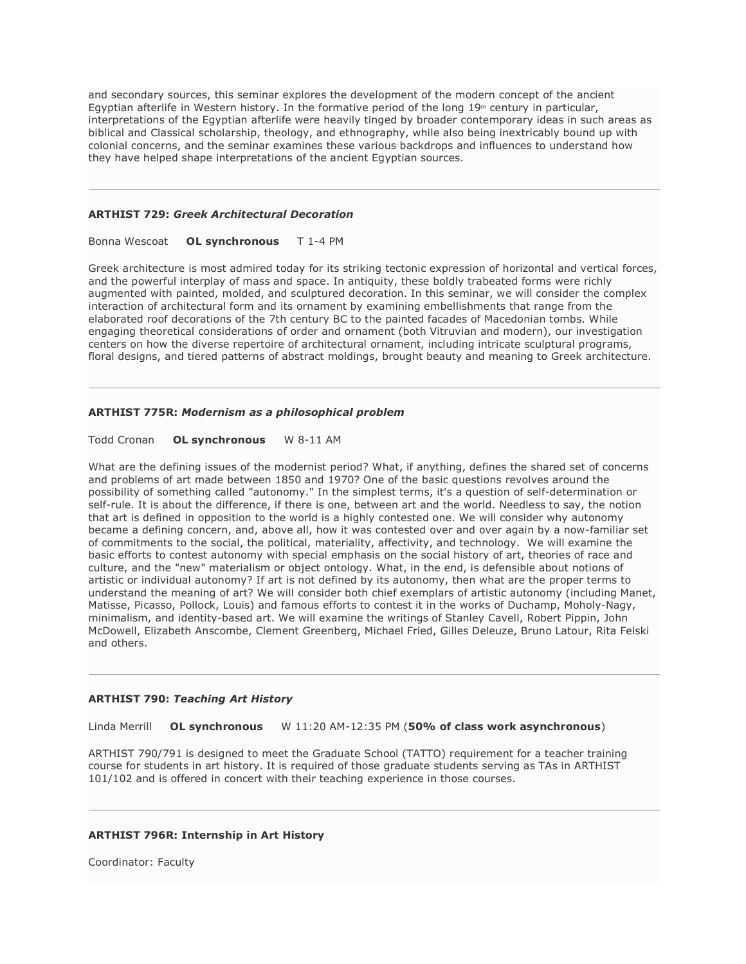and secondary sources, this seminar explores the development of the modern concept of the ancient Egyptian afterlife in Western history. In the formative period of the long  $19<sup>th</sup>$  century in particular, interpretations of the Egyptian afterlife were heavily tinged by broader contemporary ideas in such areas as biblical and Classical scholarship, theology, and ethnography, while also being inextricably bound up with colonial concerns, and the seminar examines these various backdrops and influences to understand how they have helped shape interpretations of the ancient Egyptian sources.

#### **ARTHIST 729:** *Greek Architectural Decoration*

#### Bonna Wescoat **OL synchronous** T 1-4 PM

Greek architecture is most admired today for its striking tectonic expression of horizontal and vertical forces, and the powerful interplay of mass and space. In antiquity, these boldly trabeated forms were richly augmented with painted, molded, and sculptured decoration. In this seminar, we will consider the complex interaction of architectural form and its ornament by examining embellishments that range from the elaborated roof decorations of the 7th century BC to the painted facades of Macedonian tombs. While engaging theoretical considerations of order and ornament (both Vitruvian and modern), our investigation centers on how the diverse repertoire of architectural ornament, including intricate sculptural programs, floral designs, and tiered patterns of abstract moldings, brought beauty and meaning to Greek architecture.

#### **ARTHIST 775R:** *Modernism as a philosophical problem*

#### Todd Cronan **OL synchronous** W 8-11 AM

What are the defining issues of the modernist period? What, if anything, defines the shared set of concerns and problems of art made between 1850 and 1970? One of the basic questions revolves around the possibility of something called "autonomy." In the simplest terms, it's a question of self-determination or self-rule. It is about the difference, if there is one, between art and the world. Needless to say, the notion that art is defined in opposition to the world is a highly contested one. We will consider why autonomy became a defining concern, and, above all, how it was contested over and over again by a now-familiar set of commitments to the social, the political, materiality, affectivity, and technology. We will examine the basic efforts to contest autonomy with special emphasis on the social history of art, theories of race and culture, and the "new" materialism or object ontology. What, in the end, is defensible about notions of artistic or individual autonomy? If art is not defined by its autonomy, then what are the proper terms to understand the meaning of art? We will consider both chief exemplars of artistic autonomy (including Manet, Matisse, Picasso, Pollock, Louis) and famous efforts to contest it in the works of Duchamp, Moholy-Nagy, minimalism, and identity-based art. We will examine the writings of Stanley Cavell, Robert Pippin, John McDowell, Elizabeth Anscombe, Clement Greenberg, Michael Fried, Gilles Deleuze, Bruno Latour, Rita Felski and others.

#### **ARTHIST 790:** *Teaching Art History*

Linda Merrill **OL synchronous** W 11:20 AM-12:35 PM (**50% of class work asynchronous**)

ARTHIST 790/791 is designed to meet the Graduate School (TATTO) requirement for a teacher training course for students in art history. It is required of those graduate students serving as TAs in ARTHIST 101/102 and is offered in concert with their teaching experience in those courses.

#### **ARTHIST 796R: Internship in Art History**

Coordinator: Faculty